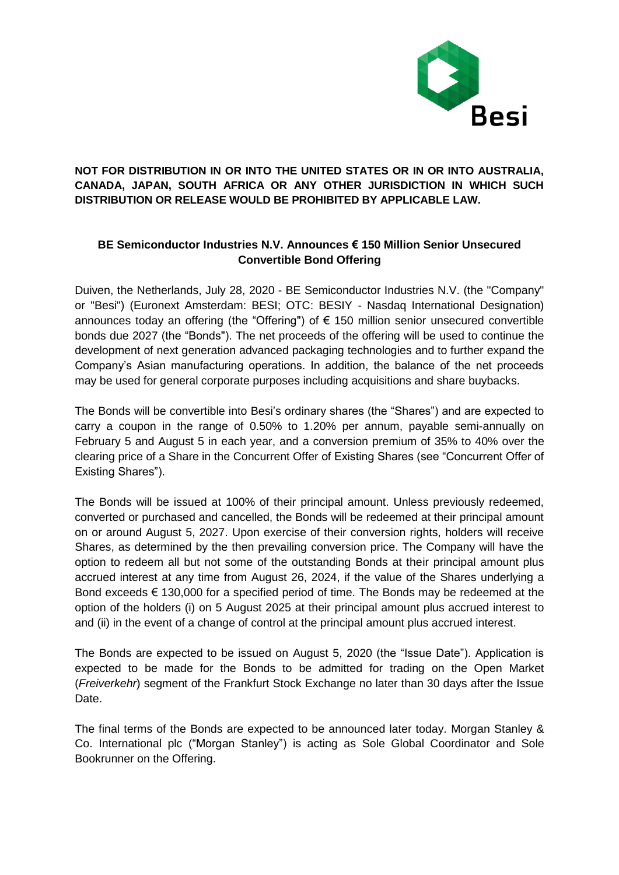

# **NOT FOR DISTRIBUTION IN OR INTO THE UNITED STATES OR IN OR INTO AUSTRALIA, CANADA, JAPAN, SOUTH AFRICA OR ANY OTHER JURISDICTION IN WHICH SUCH DISTRIBUTION OR RELEASE WOULD BE PROHIBITED BY APPLICABLE LAW.**

# **BE Semiconductor Industries N.V. Announces € 150 Million Senior Unsecured Convertible Bond Offering**

Duiven, the Netherlands, July 28, 2020 - BE Semiconductor Industries N.V. (the "Company" or "Besi") (Euronext Amsterdam: BESI; OTC: BESIY - Nasdaq International Designation) announces today an offering (the "Offering") of € 150 million senior unsecured convertible bonds due 2027 (the "Bonds"). The net proceeds of the offering will be used to continue the development of next generation advanced packaging technologies and to further expand the Company's Asian manufacturing operations. In addition, the balance of the net proceeds may be used for general corporate purposes including acquisitions and share buybacks.

The Bonds will be convertible into Besi's ordinary shares (the "Shares") and are expected to carry a coupon in the range of 0.50% to 1.20% per annum, payable semi-annually on February 5 and August 5 in each year, and a conversion premium of 35% to 40% over the clearing price of a Share in the Concurrent Offer of Existing Shares (see "Concurrent Offer of Existing Shares").

The Bonds will be issued at 100% of their principal amount. Unless previously redeemed, converted or purchased and cancelled, the Bonds will be redeemed at their principal amount on or around August 5, 2027. Upon exercise of their conversion rights, holders will receive Shares, as determined by the then prevailing conversion price. The Company will have the option to redeem all but not some of the outstanding Bonds at their principal amount plus accrued interest at any time from August 26, 2024, if the value of the Shares underlying a Bond exceeds  $\epsilon$  130,000 for a specified period of time. The Bonds may be redeemed at the option of the holders (i) on 5 August 2025 at their principal amount plus accrued interest to and (ii) in the event of a change of control at the principal amount plus accrued interest.

The Bonds are expected to be issued on August 5, 2020 (the "Issue Date"). Application is expected to be made for the Bonds to be admitted for trading on the Open Market (*Freiverkehr*) segment of the Frankfurt Stock Exchange no later than 30 days after the Issue Date.

The final terms of the Bonds are expected to be announced later today. Morgan Stanley & Co. International plc ("Morgan Stanley") is acting as Sole Global Coordinator and Sole Bookrunner on the Offering.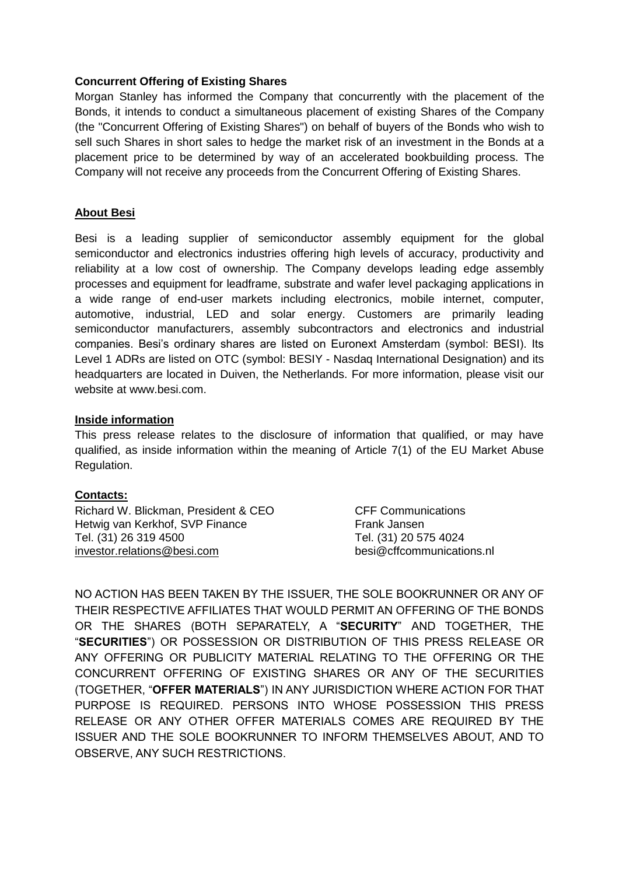### **Concurrent Offering of Existing Shares**

Morgan Stanley has informed the Company that concurrently with the placement of the Bonds, it intends to conduct a simultaneous placement of existing Shares of the Company (the "Concurrent Offering of Existing Shares") on behalf of buyers of the Bonds who wish to sell such Shares in short sales to hedge the market risk of an investment in the Bonds at a placement price to be determined by way of an accelerated bookbuilding process. The Company will not receive any proceeds from the Concurrent Offering of Existing Shares.

## **About Besi**

Besi is a leading supplier of semiconductor assembly equipment for the global semiconductor and electronics industries offering high levels of accuracy, productivity and reliability at a low cost of ownership. The Company develops leading edge assembly processes and equipment for leadframe, substrate and wafer level packaging applications in a wide range of end-user markets including electronics, mobile internet, computer, automotive, industrial, LED and solar energy. Customers are primarily leading semiconductor manufacturers, assembly subcontractors and electronics and industrial companies. Besi's ordinary shares are listed on Euronext Amsterdam (symbol: BESI). Its Level 1 ADRs are listed on OTC (symbol: BESIY - Nasdaq International Designation) and its headquarters are located in Duiven, the Netherlands. For more information, please visit our website at www.besi.com.

### **Inside information**

This press release relates to the disclosure of information that qualified, or may have qualified, as inside information within the meaning of Article 7(1) of the EU Market Abuse Regulation.

# **Contacts:**

Richard W. Blickman, President & CEO CFF Communications Hetwig van Kerkhof, SVP Finance Frank Jansen Tel. (31) 26 319 4500 Tel. (31) 20 575 4024 [investor.relations@besi.com](mailto:investor.relations@besi.com) besi@cffcommunications.nl

NO ACTION HAS BEEN TAKEN BY THE ISSUER, THE SOLE BOOKRUNNER OR ANY OF THEIR RESPECTIVE AFFILIATES THAT WOULD PERMIT AN OFFERING OF THE BONDS OR THE SHARES (BOTH SEPARATELY, A "**SECURITY**" AND TOGETHER, THE "**SECURITIES**") OR POSSESSION OR DISTRIBUTION OF THIS PRESS RELEASE OR ANY OFFERING OR PUBLICITY MATERIAL RELATING TO THE OFFERING OR THE CONCURRENT OFFERING OF EXISTING SHARES OR ANY OF THE SECURITIES (TOGETHER, "**OFFER MATERIALS**") IN ANY JURISDICTION WHERE ACTION FOR THAT PURPOSE IS REQUIRED. PERSONS INTO WHOSE POSSESSION THIS PRESS RELEASE OR ANY OTHER OFFER MATERIALS COMES ARE REQUIRED BY THE ISSUER AND THE SOLE BOOKRUNNER TO INFORM THEMSELVES ABOUT, AND TO OBSERVE, ANY SUCH RESTRICTIONS.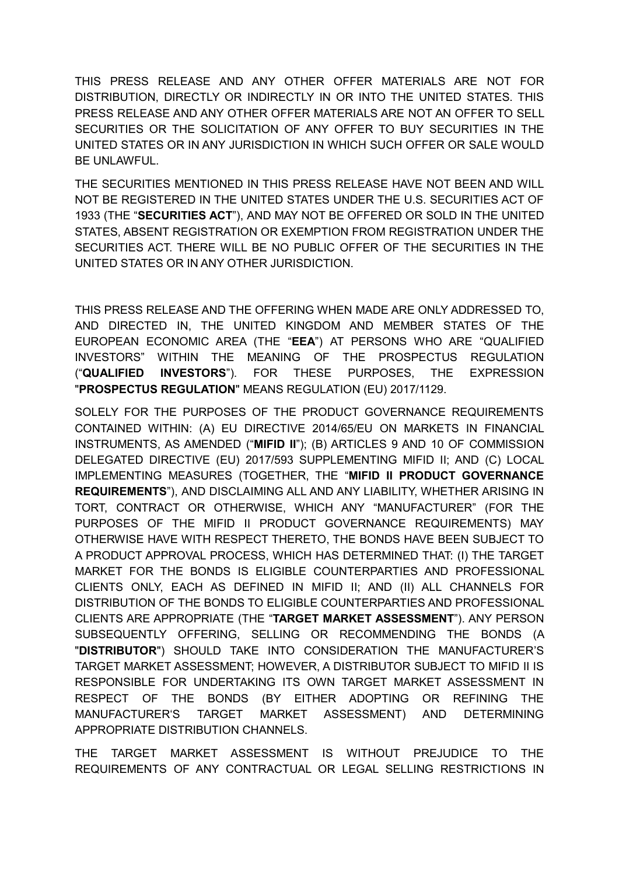THIS PRESS RELEASE AND ANY OTHER OFFER MATERIALS ARE NOT FOR DISTRIBUTION, DIRECTLY OR INDIRECTLY IN OR INTO THE UNITED STATES. THIS PRESS RELEASE AND ANY OTHER OFFER MATERIALS ARE NOT AN OFFER TO SELL SECURITIES OR THE SOLICITATION OF ANY OFFER TO BUY SECURITIES IN THE UNITED STATES OR IN ANY JURISDICTION IN WHICH SUCH OFFER OR SALE WOULD BE UNLAWFUL.

THE SECURITIES MENTIONED IN THIS PRESS RELEASE HAVE NOT BEEN AND WILL NOT BE REGISTERED IN THE UNITED STATES UNDER THE U.S. SECURITIES ACT OF 1933 (THE "**SECURITIES ACT**"), AND MAY NOT BE OFFERED OR SOLD IN THE UNITED STATES, ABSENT REGISTRATION OR EXEMPTION FROM REGISTRATION UNDER THE SECURITIES ACT. THERE WILL BE NO PUBLIC OFFER OF THE SECURITIES IN THE UNITED STATES OR IN ANY OTHER JURISDICTION.

THIS PRESS RELEASE AND THE OFFERING WHEN MADE ARE ONLY ADDRESSED TO, AND DIRECTED IN, THE UNITED KINGDOM AND MEMBER STATES OF THE EUROPEAN ECONOMIC AREA (THE "**EEA**") AT PERSONS WHO ARE "QUALIFIED INVESTORS" WITHIN THE MEANING OF THE PROSPECTUS REGULATION ("**QUALIFIED INVESTORS**"). FOR THESE PURPOSES, THE EXPRESSION "**PROSPECTUS REGULATION**" MEANS REGULATION (EU) 2017/1129.

SOLELY FOR THE PURPOSES OF THE PRODUCT GOVERNANCE REQUIREMENTS CONTAINED WITHIN: (A) EU DIRECTIVE 2014/65/EU ON MARKETS IN FINANCIAL INSTRUMENTS, AS AMENDED ("**MIFID II**"); (B) ARTICLES 9 AND 10 OF COMMISSION DELEGATED DIRECTIVE (EU) 2017/593 SUPPLEMENTING MIFID II; AND (C) LOCAL IMPLEMENTING MEASURES (TOGETHER, THE "**MIFID II PRODUCT GOVERNANCE REQUIREMENTS**"), AND DISCLAIMING ALL AND ANY LIABILITY, WHETHER ARISING IN TORT, CONTRACT OR OTHERWISE, WHICH ANY "MANUFACTURER" (FOR THE PURPOSES OF THE MIFID II PRODUCT GOVERNANCE REQUIREMENTS) MAY OTHERWISE HAVE WITH RESPECT THERETO, THE BONDS HAVE BEEN SUBJECT TO A PRODUCT APPROVAL PROCESS, WHICH HAS DETERMINED THAT: (I) THE TARGET MARKET FOR THE BONDS IS ELIGIBLE COUNTERPARTIES AND PROFESSIONAL CLIENTS ONLY, EACH AS DEFINED IN MIFID II; AND (II) ALL CHANNELS FOR DISTRIBUTION OF THE BONDS TO ELIGIBLE COUNTERPARTIES AND PROFESSIONAL CLIENTS ARE APPROPRIATE (THE "**TARGET MARKET ASSESSMENT**"). ANY PERSON SUBSEQUENTLY OFFERING, SELLING OR RECOMMENDING THE BONDS (A "**DISTRIBUTOR**") SHOULD TAKE INTO CONSIDERATION THE MANUFACTURER'S TARGET MARKET ASSESSMENT; HOWEVER, A DISTRIBUTOR SUBJECT TO MIFID II IS RESPONSIBLE FOR UNDERTAKING ITS OWN TARGET MARKET ASSESSMENT IN RESPECT OF THE BONDS (BY EITHER ADOPTING OR REFINING THE MANUFACTURER'S TARGET MARKET ASSESSMENT) AND DETERMINING APPROPRIATE DISTRIBUTION CHANNELS.

THE TARGET MARKET ASSESSMENT IS WITHOUT PREJUDICE TO THE REQUIREMENTS OF ANY CONTRACTUAL OR LEGAL SELLING RESTRICTIONS IN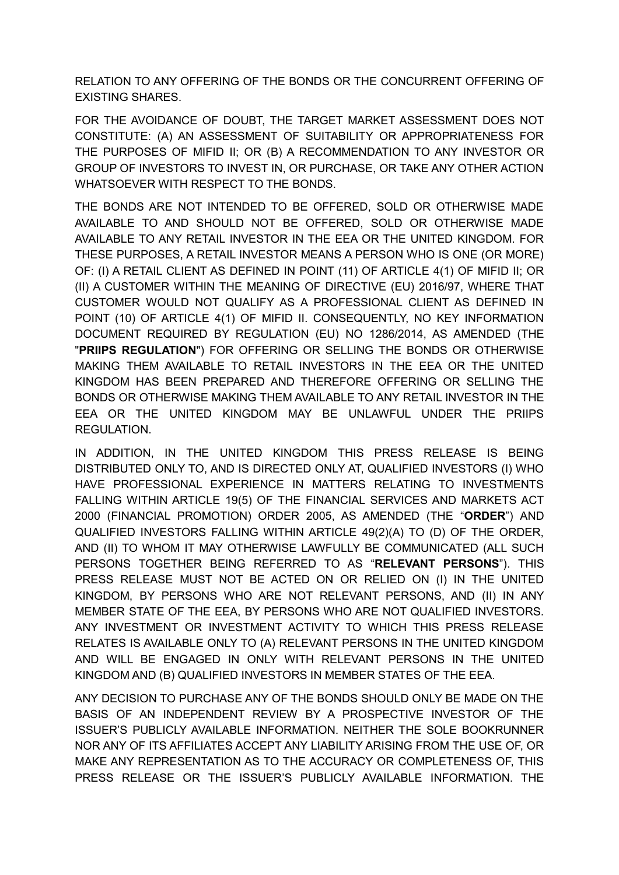RELATION TO ANY OFFERING OF THE BONDS OR THE CONCURRENT OFFERING OF EXISTING SHARES.

FOR THE AVOIDANCE OF DOUBT, THE TARGET MARKET ASSESSMENT DOES NOT CONSTITUTE: (A) AN ASSESSMENT OF SUITABILITY OR APPROPRIATENESS FOR THE PURPOSES OF MIFID II; OR (B) A RECOMMENDATION TO ANY INVESTOR OR GROUP OF INVESTORS TO INVEST IN, OR PURCHASE, OR TAKE ANY OTHER ACTION WHATSOEVER WITH RESPECT TO THE BONDS.

THE BONDS ARE NOT INTENDED TO BE OFFERED, SOLD OR OTHERWISE MADE AVAILABLE TO AND SHOULD NOT BE OFFERED, SOLD OR OTHERWISE MADE AVAILABLE TO ANY RETAIL INVESTOR IN THE EEA OR THE UNITED KINGDOM. FOR THESE PURPOSES, A RETAIL INVESTOR MEANS A PERSON WHO IS ONE (OR MORE) OF: (I) A RETAIL CLIENT AS DEFINED IN POINT (11) OF ARTICLE 4(1) OF MIFID II; OR (II) A CUSTOMER WITHIN THE MEANING OF DIRECTIVE (EU) 2016/97, WHERE THAT CUSTOMER WOULD NOT QUALIFY AS A PROFESSIONAL CLIENT AS DEFINED IN POINT (10) OF ARTICLE 4(1) OF MIFID II. CONSEQUENTLY, NO KEY INFORMATION DOCUMENT REQUIRED BY REGULATION (EU) NO 1286/2014, AS AMENDED (THE "**PRIIPS REGULATION**") FOR OFFERING OR SELLING THE BONDS OR OTHERWISE MAKING THEM AVAILABLE TO RETAIL INVESTORS IN THE EEA OR THE UNITED KINGDOM HAS BEEN PREPARED AND THEREFORE OFFERING OR SELLING THE BONDS OR OTHERWISE MAKING THEM AVAILABLE TO ANY RETAIL INVESTOR IN THE EEA OR THE UNITED KINGDOM MAY BE UNLAWFUL UNDER THE PRIIPS REGULATION.

IN ADDITION, IN THE UNITED KINGDOM THIS PRESS RELEASE IS BEING DISTRIBUTED ONLY TO, AND IS DIRECTED ONLY AT, QUALIFIED INVESTORS (I) WHO HAVE PROFESSIONAL EXPERIENCE IN MATTERS RELATING TO INVESTMENTS FALLING WITHIN ARTICLE 19(5) OF THE FINANCIAL SERVICES AND MARKETS ACT 2000 (FINANCIAL PROMOTION) ORDER 2005, AS AMENDED (THE "**ORDER**") AND QUALIFIED INVESTORS FALLING WITHIN ARTICLE 49(2)(A) TO (D) OF THE ORDER, AND (II) TO WHOM IT MAY OTHERWISE LAWFULLY BE COMMUNICATED (ALL SUCH PERSONS TOGETHER BEING REFERRED TO AS "**RELEVANT PERSONS**"). THIS PRESS RELEASE MUST NOT BE ACTED ON OR RELIED ON (I) IN THE UNITED KINGDOM, BY PERSONS WHO ARE NOT RELEVANT PERSONS, AND (II) IN ANY MEMBER STATE OF THE EEA, BY PERSONS WHO ARE NOT QUALIFIED INVESTORS. ANY INVESTMENT OR INVESTMENT ACTIVITY TO WHICH THIS PRESS RELEASE RELATES IS AVAILABLE ONLY TO (A) RELEVANT PERSONS IN THE UNITED KINGDOM AND WILL BE ENGAGED IN ONLY WITH RELEVANT PERSONS IN THE UNITED KINGDOM AND (B) QUALIFIED INVESTORS IN MEMBER STATES OF THE EEA.

ANY DECISION TO PURCHASE ANY OF THE BONDS SHOULD ONLY BE MADE ON THE BASIS OF AN INDEPENDENT REVIEW BY A PROSPECTIVE INVESTOR OF THE ISSUER'S PUBLICLY AVAILABLE INFORMATION. NEITHER THE SOLE BOOKRUNNER NOR ANY OF ITS AFFILIATES ACCEPT ANY LIABILITY ARISING FROM THE USE OF, OR MAKE ANY REPRESENTATION AS TO THE ACCURACY OR COMPLETENESS OF, THIS PRESS RELEASE OR THE ISSUER'S PUBLICLY AVAILABLE INFORMATION. THE